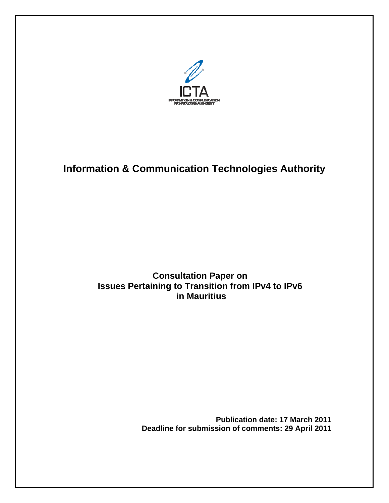

# **Information & Communication Technologies Authority**

# **Consultation Paper on Issues Pertaining to Transition from IPv4 to IPv6 in Mauritius**

**Publication date: 17 March 2011 Deadline for submission of comments: 29 April 2011**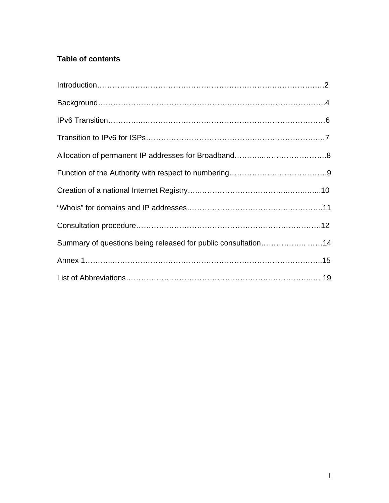# **Table of contents**

| Summary of questions being released for public consultation14 |
|---------------------------------------------------------------|
|                                                               |
|                                                               |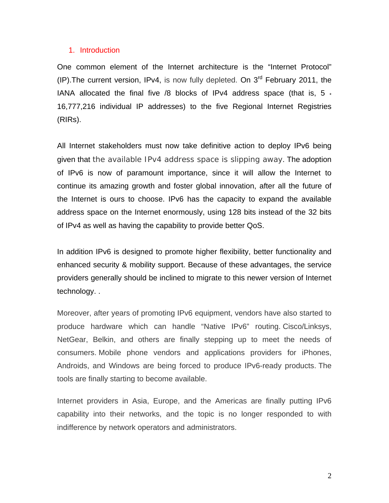#### 1. Introduction

One common element of the Internet architecture is the "Internet Protocol" (IP). The current version, IPv4, is now fully depleted. On  $3<sup>rd</sup>$  February 2011, the IANA allocated the final five /8 blocks of IPv4 address space (that is,  $5 \cdot$ 16,777,216 individual IP addresses) to the five Regional Internet Registries (RIRs).

All Internet stakeholders must now take definitive action to deploy IPv6 being given that the available IPv4 address space is slipping away. The adoption of IPv6 is now of paramount importance, since it will allow the Internet to continue its amazing growth and foster global innovation, after all the future of the Internet is ours to choose. IPv6 has the capacity to expand the available address space on the Internet enormously, using 128 bits instead of the 32 bits of IPv4 as well as having the capability to provide better QoS.

In addition IPv6 is designed to promote higher flexibility, better functionality and enhanced security & mobility support. Because of these advantages, the service providers generally should be inclined to migrate to this newer version of Internet technology. .

Moreover, after years of promoting IPv6 equipment, vendors have also started to produce hardware which can handle "Native IPv6" routing. Cisco/Linksys, NetGear, Belkin, and others are finally stepping up to meet the needs of consumers. Mobile phone vendors and applications providers for iPhones, Androids, and Windows are being forced to produce IPv6-ready products. The tools are finally starting to become available.

Internet providers in Asia, Europe, and the Americas are finally putting IPv6 capability into their networks, and the topic is no longer responded to with indifference by network operators and administrators.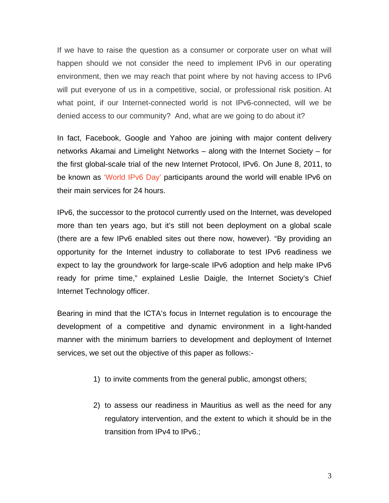If we have to raise the question as a consumer or corporate user on what will happen should we not consider the need to implement IPv6 in our operating environment, then we may reach that point where by not having access to IPv6 will put everyone of us in a competitive, social, or professional risk position. At what point, if our Internet-connected world is not IPv6-connected, will we be denied access to our community? And, what are we going to do about it?

In fact, Facebook, Google and Yahoo are joining with major content delivery networks Akamai and Limelight Networks – along with the Internet Society – for the first global-scale trial of the new Internet Protocol, IPv6. On June 8, 2011, to be known as ['World IPv6 Day'](http://www.internetsociety.org/worldipv6day) participants around the world will enable IPv6 on their main services for 24 hours.

IPv6, the successor to the protocol currently used on the Internet, was developed more than ten years ago, but it's still not been deployment on a global scale (there are a few IPv6 enabled sites out there now, however). "By providing an opportunity for the Internet industry to collaborate to test IPv6 readiness we expect to lay the groundwork for large-scale IPv6 adoption and help make IPv6 ready for prime time," explained Leslie Daigle, the Internet Society's Chief Internet Technology officer.

Bearing in mind that the ICTA's focus in Internet regulation is to encourage the development of a competitive and dynamic environment in a light-handed manner with the minimum barriers to development and deployment of Internet services, we set out the objective of this paper as follows:-

- 1) to invite comments from the general public, amongst others;
- 2) to assess our readiness in Mauritius as well as the need for any regulatory intervention, and the extent to which it should be in the transition from IPv4 to IPv6.;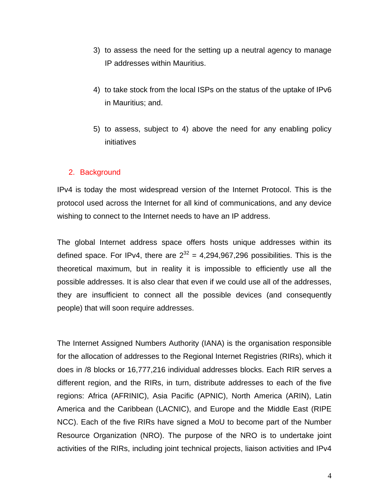- 3) to assess the need for the setting up a neutral agency to manage IP addresses within Mauritius.
- 4) to take stock from the local ISPs on the status of the uptake of IPv6 in Mauritius; and.
- 5) to assess, subject to 4) above the need for any enabling policy initiatives

# 2. Background

IPv4 is today the most widespread version of the Internet Protocol. This is the protocol used across the Internet for all kind of communications, and any device wishing to connect to the Internet needs to have an IP address.

The global Internet address space offers hosts unique addresses within its defined space. For IPv4, there are  $2^{32} = 4,294,967,296$  possibilities. This is the theoretical maximum, but in reality it is impossible to efficiently use all the possible addresses. It is also clear that even if we could use all of the addresses, they are insufficient to connect all the possible devices (and consequently people) that will soon require addresses.

The Internet Assigned Numbers Authority (IANA) is the organisation responsible for the allocation of addresses to the Regional Internet Registries (RIRs), which it does in /8 blocks or 16,777,216 individual addresses blocks. Each RIR serves a different region, and the RIRs, in turn, distribute addresses to each of the five regions: Africa (AFRINIC), Asia Pacific (APNIC), North America (ARIN), Latin America and the Caribbean (LACNIC), and Europe and the Middle East (RIPE NCC). Each of the five RIRs have signed a MoU to become part of the Number Resource Organization (NRO). The purpose of the NRO is to undertake joint activities of the RIRs, including joint technical projects, liaison activities and IPv4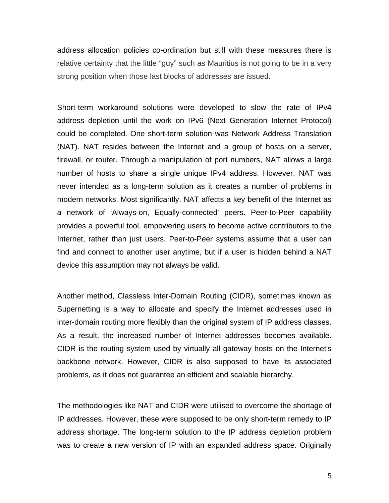address allocation policies co-ordination but still with these measures there is relative certainty that the little "guy" such as Mauritius is not going to be in a very strong position when those last blocks of addresses are issued.

Short-term workaround solutions were developed to slow the rate of IPv4 address depletion until the work on IPv6 (Next Generation Internet Protocol) could be completed. One short-term solution was Network Address Translation (NAT). NAT resides between the Internet and a group of hosts on a server, firewall, or router. Through a manipulation of port numbers, NAT allows a large number of hosts to share a single unique IPv4 address. However, NAT was never intended as a long-term solution as it creates a number of problems in modern networks. Most significantly, NAT affects a key benefit of the Internet as a network of 'Always-on, Equally-connected' peers. Peer-to-Peer capability provides a powerful tool, empowering users to become active contributors to the Internet, rather than just users. Peer-to-Peer systems assume that a user can find and connect to another user anytime, but if a user is hidden behind a NAT device this assumption may not always be valid.

Another method, Classless Inter-Domain Routing (CIDR), sometimes known as Supernetting is a way to allocate and specify the Internet addresses used in inter-domain routing more flexibly than the original system of IP address classes. As a result, the increased number of Internet addresses becomes available. CIDR is the routing system used by virtually all gateway hosts on the Internet's backbone network. However, CIDR is also supposed to have its associated problems, as it does not guarantee an efficient and scalable hierarchy.

The methodologies like NAT and CIDR were utilised to overcome the shortage of IP addresses. However, these were supposed to be only short-term remedy to IP address shortage. The long-term solution to the IP address depletion problem was to create a new version of IP with an expanded address space. Originally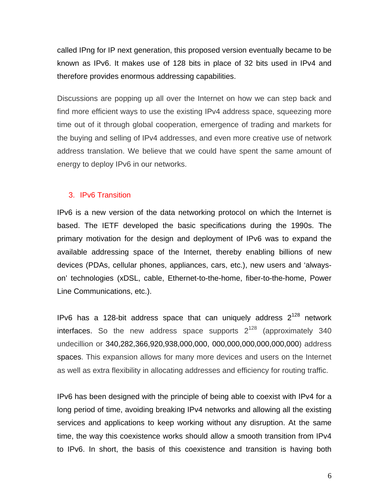called IPng for IP next generation, this proposed version eventually became to be known as IPv6. It makes use of 128 bits in place of 32 bits used in IPv4 and therefore provides enormous addressing capabilities.

Discussions are popping up all over the Internet on how we can step back and find more efficient ways to use the existing IPv4 address space, squeezing more time out of it through global cooperation, emergence of trading and markets for the buying and selling of IPv4 addresses, and even more creative use of network address translation. We believe that we could have spent the same amount of energy to deploy IPv6 in our networks.

#### 3. IPv6 Transition

IPv6 is a new version of the data networking protocol on which the Internet is based. The IETF developed the basic specifications during the 1990s. The primary motivation for the design and deployment of IPv6 was to expand the available addressing space of the Internet, thereby enabling billions of new devices (PDAs, cellular phones, appliances, cars, etc.), new users and 'alwayson' technologies (xDSL, cable, Ethernet-to-the-home, fiber-to-the-home, Power Line Communications, etc.).

IPv6 has a 128-bit address space that can uniquely address  $2^{128}$  network interfaces. So the new address space supports  $2^{128}$  (approximately 340 undecillion or 340,282,366,920,938,000,000, 000,000,000,000,000,000) address spaces. This expansion allows for many more devices and users on the Internet as well as extra flexibility in allocating addresses and efficiency for routing traffic.

IPv6 has been designed with the principle of being able to coexist with IPv4 for a long period of time, avoiding breaking IPv4 networks and allowing all the existing services and applications to keep working without any disruption. At the same time, the way this coexistence works should allow a smooth transition from IPv4 to IPv6. In short, the basis of this coexistence and transition is having both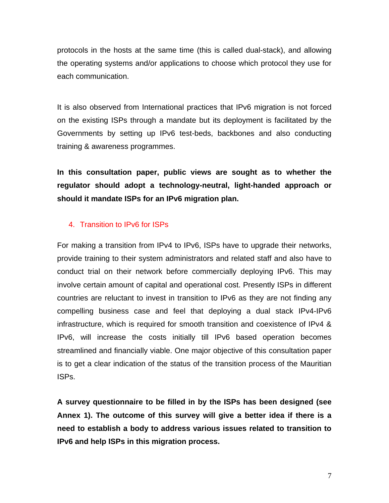protocols in the hosts at the same time (this is called dual-stack), and allowing the operating systems and/or applications to choose which protocol they use for each communication.

It is also observed from International practices that IPv6 migration is not forced on the existing ISPs through a mandate but its deployment is facilitated by the Governments by setting up IPv6 test-beds, backbones and also conducting training & awareness programmes.

**In this consultation paper, public views are sought as to whether the regulator should adopt a technology-neutral, light-handed approach or should it mandate ISPs for an IPv6 migration plan.** 

# 4. Transition to IPv6 for ISPs

For making a transition from IPv4 to IPv6, ISPs have to upgrade their networks, provide training to their system administrators and related staff and also have to conduct trial on their network before commercially deploying IPv6. This may involve certain amount of capital and operational cost. Presently ISPs in different countries are reluctant to invest in transition to IPv6 as they are not finding any compelling business case and feel that deploying a dual stack IPv4-IPv6 infrastructure, which is required for smooth transition and coexistence of IPv4 & IPv6, will increase the costs initially till IPv6 based operation becomes streamlined and financially viable. One major objective of this consultation paper is to get a clear indication of the status of the transition process of the Mauritian ISPs.

**A survey questionnaire to be filled in by the ISPs has been designed (see Annex 1). The outcome of this survey will give a better idea if there is a need to establish a body to address various issues related to transition to IPv6 and help ISPs in this migration process.**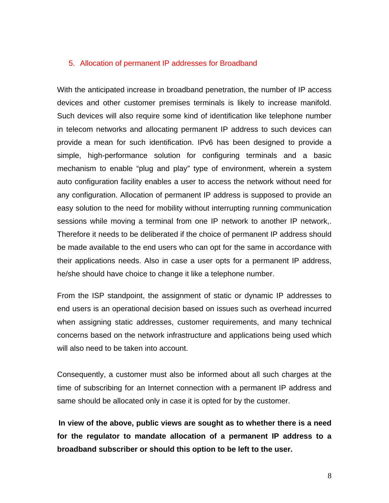#### 5. Allocation of permanent IP addresses for Broadband

With the anticipated increase in broadband penetration, the number of IP access devices and other customer premises terminals is likely to increase manifold. Such devices will also require some kind of identification like telephone number in telecom networks and allocating permanent IP address to such devices can provide a mean for such identification. IPv6 has been designed to provide a simple, high-performance solution for configuring terminals and a basic mechanism to enable "plug and play" type of environment, wherein a system auto configuration facility enables a user to access the network without need for any configuration. Allocation of permanent IP address is supposed to provide an easy solution to the need for mobility without interrupting running communication sessions while moving a terminal from one IP network to another IP network,. Therefore it needs to be deliberated if the choice of permanent IP address should be made available to the end users who can opt for the same in accordance with their applications needs. Also in case a user opts for a permanent IP address, he/she should have choice to change it like a telephone number.

From the ISP standpoint, the assignment of static or dynamic IP addresses to end users is an operational decision based on issues such as overhead incurred when assigning static addresses, customer requirements, and many technical concerns based on the network infrastructure and applications being used which will also need to be taken into account.

Consequently, a customer must also be informed about all such charges at the time of subscribing for an Internet connection with a permanent IP address and same should be allocated only in case it is opted for by the customer.

**In view of the above, public views are sought as to whether there is a need for the regulator to mandate allocation of a permanent IP address to a broadband subscriber or should this option to be left to the user.** 

8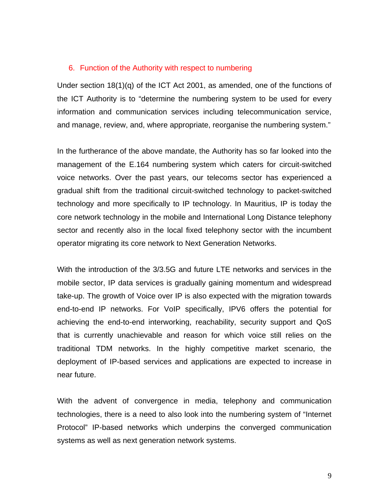#### 6. Function of the Authority with respect to numbering

Under section 18(1)(q) of the ICT Act 2001, as amended, one of the functions of the ICT Authority is to "determine the numbering system to be used for every information and communication services including telecommunication service, and manage, review, and, where appropriate, reorganise the numbering system."

In the furtherance of the above mandate, the Authority has so far looked into the management of the E.164 numbering system which caters for circuit-switched voice networks. Over the past years, our telecoms sector has experienced a gradual shift from the traditional circuit-switched technology to packet-switched technology and more specifically to IP technology. In Mauritius, IP is today the core network technology in the mobile and International Long Distance telephony sector and recently also in the local fixed telephony sector with the incumbent operator migrating its core network to Next Generation Networks.

With the introduction of the 3/3.5G and future LTE networks and services in the mobile sector, IP data services is gradually gaining momentum and widespread take-up. The growth of Voice over IP is also expected with the migration towards end-to-end IP networks. For VoIP specifically, IPV6 offers the potential for achieving the end-to-end interworking, reachability, security support and QoS that is currently unachievable and reason for which voice still relies on the traditional TDM networks. In the highly competitive market scenario, the deployment of IP-based services and applications are expected to increase in near future.

With the advent of convergence in media, telephony and communication technologies, there is a need to also look into the numbering system of "Internet Protocol" IP-based networks which underpins the converged communication systems as well as next generation network systems.

9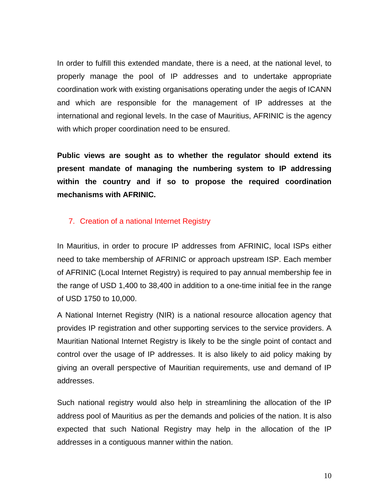In order to fulfill this extended mandate, there is a need, at the national level, to properly manage the pool of IP addresses and to undertake appropriate coordination work with existing organisations operating under the aegis of ICANN and which are responsible for the management of IP addresses at the international and regional levels. In the case of Mauritius, AFRINIC is the agency with which proper coordination need to be ensured.

**Public views are sought as to whether the regulator should extend its present mandate of managing the numbering system to IP addressing within the country and if so to propose the required coordination mechanisms with AFRINIC.** 

# 7. Creation of a national Internet Registry

In Mauritius, in order to procure IP addresses from AFRINIC, local ISPs either need to take membership of AFRINIC or approach upstream ISP. Each member of AFRINIC (Local Internet Registry) is required to pay annual membership fee in the range of USD 1,400 to 38,400 in addition to a one-time initial fee in the range of USD 1750 to 10,000.

A National Internet Registry (NIR) is a national resource allocation agency that provides IP registration and other supporting services to the service providers. A Mauritian National Internet Registry is likely to be the single point of contact and control over the usage of IP addresses. It is also likely to aid policy making by giving an overall perspective of Mauritian requirements, use and demand of IP addresses.

Such national registry would also help in streamlining the allocation of the IP address pool of Mauritius as per the demands and policies of the nation. It is also expected that such National Registry may help in the allocation of the IP addresses in a contiguous manner within the nation.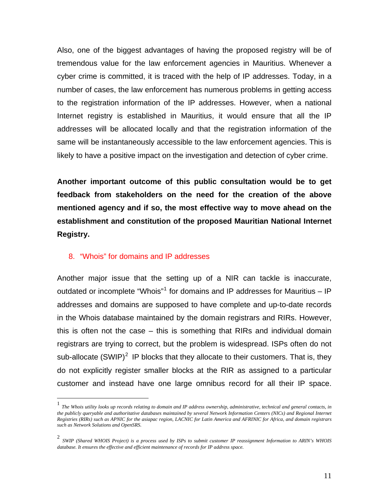Also, one of the biggest advantages of having the proposed registry will be of tremendous value for the law enforcement agencies in Mauritius. Whenever a cyber crime is committed, it is traced with the help of IP addresses. Today, in a number of cases, the law enforcement has numerous problems in getting access to the registration information of the IP addresses. However, when a national Internet registry is established in Mauritius, it would ensure that all the IP addresses will be allocated locally and that the registration information of the same will be instantaneously accessible to the law enforcement agencies. This is likely to have a positive impact on the investigation and detection of cyber crime.

**Another important outcome of this public consultation would be to get feedback from stakeholders on the need for the creation of the above mentioned agency and if so, the most effective way to move ahead on the establishment and constitution of the proposed Mauritian National Internet Registry.** 

### 8. "Whois" for domains and IP addresses

Another major issue that the setting up of a NIR can tackle is inaccurate, outdated or incomplete "Whois"<sup>[1](#page-11-0)</sup> for domains and IP addresses for Mauritius – IP addresses and domains are supposed to have complete and up-to-date records in the Whois database maintained by the domain registrars and RIRs. However, this is often not the case – this is something that RIRs and individual domain registrars are trying to correct, but the problem is widespread. ISPs often do not sub-allocate  $(SWIP)^2$  $(SWIP)^2$  IP blocks that they allocate to their customers. That is, they do not explicitly register smaller blocks at the RIR as assigned to a particular customer and instead have one large omnibus record for all their IP space.

<span id="page-11-0"></span> 1 *The Whois utility looks up records relating to domain and IP address ownership, administrative, technical and general contacts, in the publicly queryable and authoritative databases maintained by several Network Information Centers (NICs) and Regional Internet Registries (RIRs) such as APNIC for the asiapac region, LACNIC for Latin America and AFRINIC for Africa, and domain registrars such as Network Solutions and OpenSRS.*

<span id="page-11-1"></span><sup>2</sup> *SWIP (Shared WHOIS Project) is a process used by ISPs to submit customer IP reassignment Information to ARIN's WHOIS database. It ensures the effective and efficient maintenance of records for IP address space.*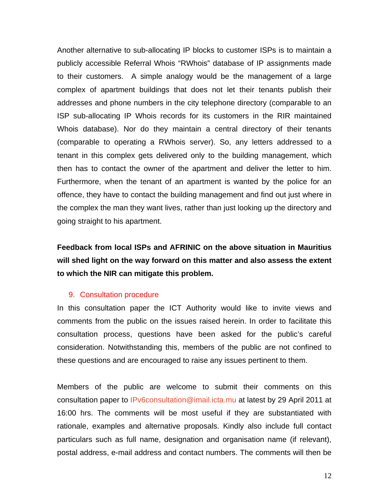Another alternative to sub-allocating IP blocks to customer ISPs is to maintain a publicly accessible Referral Whois "RWhois" database of IP assignments made to their customers. A simple analogy would be the management of a large complex of apartment buildings that does not let their tenants publish their addresses and phone numbers in the city telephone directory (comparable to an ISP sub-allocating IP Whois records for its customers in the RIR maintained Whois database). Nor do they maintain a central directory of their tenants (comparable to operating a RWhois server). So, any letters addressed to a tenant in this complex gets delivered only to the building management, which then has to contact the owner of the apartment and deliver the letter to him. Furthermore, when the tenant of an apartment is wanted by the police for an offence, they have to contact the building management and find out just where in the complex the man they want lives, rather than just looking up the directory and going straight to his apartment.

**Feedback from local ISPs and AFRINIC on the above situation in Mauritius will shed light on the way forward on this matter and also assess the extent to which the NIR can mitigate this problem.** 

#### 9. Consultation procedure

In this consultation paper the ICT Authority would like to invite views and comments from the public on the issues raised herein. In order to facilitate this consultation process, questions have been asked for the public's careful consideration. Notwithstanding this, members of the public are not confined to these questions and are encouraged to raise any issues pertinent to them.

Members of the public are welcome to submit their comments on this consultation paper to [IPv6consultation@imail.icta.mu](mailto:IPv6consultation@imail.icta.mu) at latest by 29 April 2011 at 16:00 hrs. The comments will be most useful if they are substantiated with rationale, examples and alternative proposals. Kindly also include full contact particulars such as full name, designation and organisation name (if relevant), postal address, e-mail address and contact numbers. The comments will then be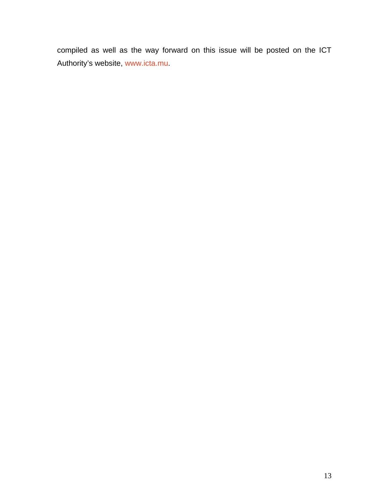compiled as well as the way forward on this issue will be posted on the ICT Authority's website, [www.icta.mu.](http://www.icta.mu/)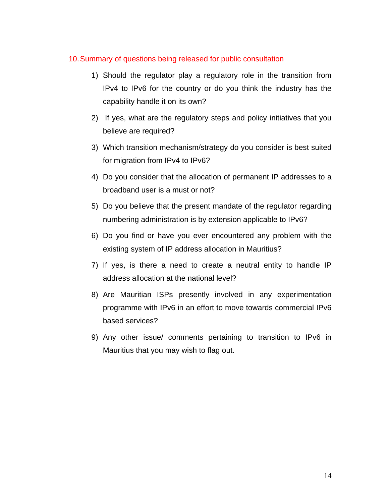### 10. Summary of questions being released for public consultation

- 1) Should the regulator play a regulatory role in the transition from IPv4 to IPv6 for the country or do you think the industry has the capability handle it on its own?
- 2) If yes, what are the regulatory steps and policy initiatives that you believe are required?
- 3) Which transition mechanism/strategy do you consider is best suited for migration from IPv4 to IPv6?
- 4) Do you consider that the allocation of permanent IP addresses to a broadband user is a must or not?
- 5) Do you believe that the present mandate of the regulator regarding numbering administration is by extension applicable to IPv6?
- 6) Do you find or have you ever encountered any problem with the existing system of IP address allocation in Mauritius?
- 7) If yes, is there a need to create a neutral entity to handle IP address allocation at the national level?
- 8) Are Mauritian ISPs presently involved in any experimentation programme with IPv6 in an effort to move towards commercial IPv6 based services?
- 9) Any other issue/ comments pertaining to transition to IPv6 in Mauritius that you may wish to flag out.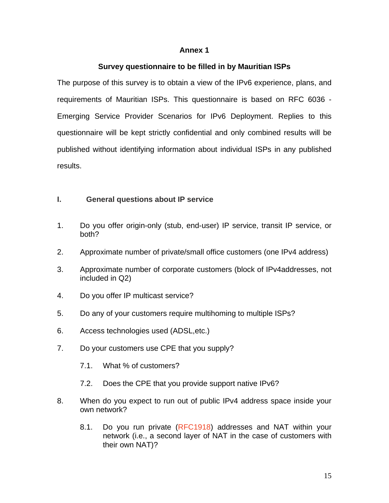#### **Annex 1**

### **Survey questionnaire to be filled in by Mauritian ISPs**

The purpose of this survey is to obtain a view of the IPv6 experience, plans, and requirements of Mauritian ISPs. This questionnaire is based on RFC 6036 - Emerging Service Provider Scenarios for IPv6 Deployment. Replies to this questionnaire will be kept strictly confidential and only combined results will be published without identifying information about individual ISPs in any published results.

### **I. General questions about IP service**

- 1. Do you offer origin-only (stub, end-user) IP service, transit IP service, or both?
- 2. Approximate number of private/small office customers (one IPv4 address)
- 3. Approximate number of corporate customers (block of IPv4addresses, not included in Q2)
- 4. Do you offer IP multicast service?
- 5. Do any of your customers require multihoming to multiple ISPs?
- 6. Access technologies used (ADSL,etc.)
- 7. Do your customers use CPE that you supply?
	- 7.1. What % of customers?
	- 7.2. Does the CPE that you provide support native IPv6?
- 8. When do you expect to run out of public IPv4 address space inside your own network?
	- 8.1. Do you run private [\(RFC1918\)](http://www.faqs.org/rfcs/rfc1918.html) addresses and NAT within your network (i.e., a second layer of NAT in the case of customers with their own NAT)?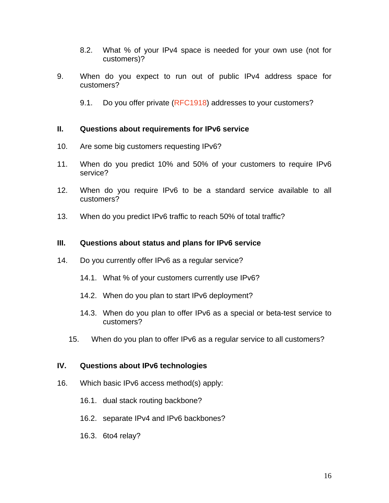- 8.2. What % of your IPv4 space is needed for your own use (not for customers)?
- 9. When do you expect to run out of public IPv4 address space for customers?
	- 9.1. Do you offer private [\(RFC1918](http://www.faqs.org/rfcs/rfc1918.html)) addresses to your customers?

#### **II. Questions about requirements for IPv6 service**

- 10. Are some big customers requesting IPv6?
- 11. When do you predict 10% and 50% of your customers to require IPv6 service?
- 12. When do you require IPv6 to be a standard service available to all customers?
- 13. When do you predict IPv6 traffic to reach 50% of total traffic?

### **III. Questions about status and plans for IPv6 service**

- 14. Do you currently offer IPv6 as a regular service?
	- 14.1. What % of your customers currently use IPv6?
	- 14.2. When do you plan to start IPv6 deployment?
	- 14.3. When do you plan to offer IPv6 as a special or beta-test service to customers?
	- 15. When do you plan to offer IPv6 as a regular service to all customers?

### **IV. Questions about IPv6 technologies**

- 16. Which basic IPv6 access method(s) apply:
	- 16.1. dual stack routing backbone?
	- 16.2. separate IPv4 and IPv6 backbones?
	- 16.3. 6to4 relay?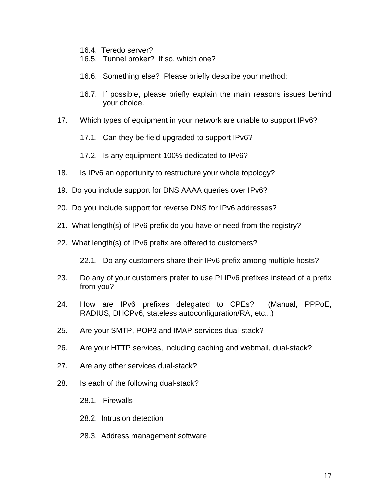- 16.4. Teredo server?
- 16.5. Tunnel broker? If so, which one?
- 16.6. Something else? Please briefly describe your method:
- 16.7. If possible, please briefly explain the main reasons issues behind your choice.
- 17. Which types of equipment in your network are unable to support IPv6?
	- 17.1. Can they be field-upgraded to support IPv6?
	- 17.2. Is any equipment 100% dedicated to IPv6?
- 18. Is IPv6 an opportunity to restructure your whole topology?
- 19. Do you include support for DNS AAAA queries over IPv6?
- 20. Do you include support for reverse DNS for IPv6 addresses?
- 21. What length(s) of IPv6 prefix do you have or need from the registry?
- 22. What length(s) of IPv6 prefix are offered to customers?

22.1. Do any customers share their IPv6 prefix among multiple hosts?

- 23. Do any of your customers prefer to use PI IPv6 prefixes instead of a prefix from you?
- 24. How are IPv6 prefixes delegated to CPEs? (Manual, PPPoE, RADIUS, DHCPv6, stateless autoconfiguration/RA, etc...)
- 25. Are your SMTP, POP3 and IMAP services dual-stack?
- 26. Are your HTTP services, including caching and webmail, dual-stack?
- 27. Are any other services dual-stack?
- 28. Is each of the following dual-stack?
	- 28.1. Firewalls
	- 28.2. Intrusion detection
	- 28.3. Address management software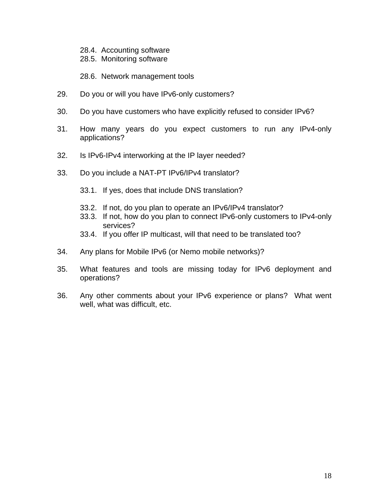- 28.4. Accounting software
- 28.5. Monitoring software
- 28.6. Network management tools
- 29. Do you or will you have IPv6-only customers?
- 30. Do you have customers who have explicitly refused to consider IPv6?
- 31. How many years do you expect customers to run any IPv4-only applications?
- 32. Is IPv6-IPv4 interworking at the IP layer needed?
- 33. Do you include a NAT-PT IPv6/IPv4 translator?
	- 33.1. If yes, does that include DNS translation?
	- 33.2. If not, do you plan to operate an IPv6/IPv4 translator?
	- 33.3. If not, how do you plan to connect IPv6-only customers to IPv4-only services?
	- 33.4. If you offer IP multicast, will that need to be translated too?
- 34. Any plans for Mobile IPv6 (or Nemo mobile networks)?
- 35. What features and tools are missing today for IPv6 deployment and operations?
- 36. Any other comments about your IPv6 experience or plans? What went well, what was difficult, etc.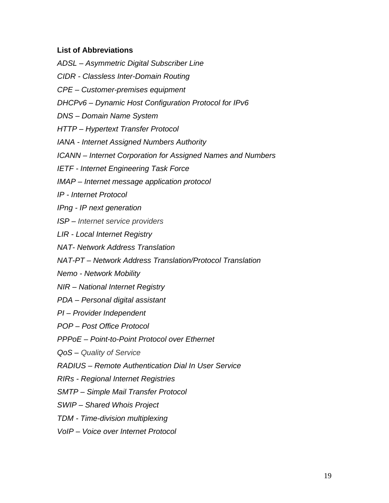# **List of Abbreviations**

- *ADSL Asymmetric Digital Subscriber Line*
- *CIDR Classless Inter-Domain Routing*
- *CPE Customer-premises equipment*
- *DHCPv6 Dynamic Host Configuration Protocol for IPv6*
- *DNS Domain Name System*
- *HTTP Hypertext Transfer Protocol*
- *IANA Internet Assigned Numbers Authority*
- *ICANN Internet Corporation for Assigned Names and Numbers*
- *IETF Internet Engineering Task Force*
- *IMAP Internet message application protocol*
- *IP Internet Protocol*
- *IPng IP next generation*
- *ISP Internet service providers*
- *LIR Local Internet Registry*
- *NAT- Network Address Translation*
- *NAT-PT Network Address Translation/Protocol Translation*
- *Nemo Network Mobility*
- *NIR National Internet Registry*
- *PDA Personal digital assistant*
- *PI Provider Independent*
- *POP Post Office Protocol*
- *PPPoE Point-to-Point Protocol over Ethernet*
- *QoS Quality of Service*
- *RADIUS Remote Authentication Dial In User Service*
- *RIRs Regional Internet Registries*
- *SMTP Simple Mail Transfer Protocol*
- *SWIP Shared Whois Project*
- *TDM Time-division multiplexing*
- *VoIP Voice over Internet Protocol*